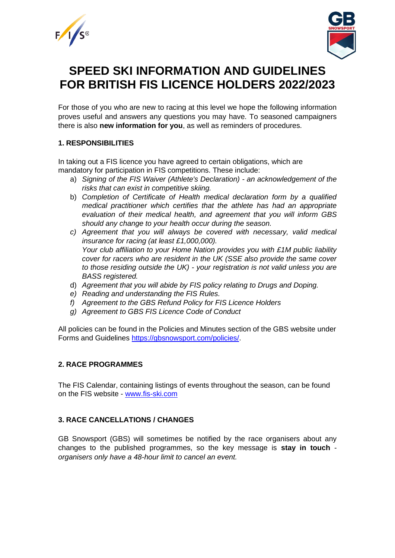



# **SPEED SKI INFORMATION AND GUIDELINES FOR BRITISH FIS LICENCE HOLDERS 2022/2023**

For those of you who are new to racing at this level we hope the following information proves useful and answers any questions you may have. To seasoned campaigners there is also **new information for you**, as well as reminders of procedures.

# **1. RESPONSIBILITIES**

In taking out a FIS licence you have agreed to certain obligations, which are mandatory for participation in FIS competitions. These include:

- a) *Signing of the FIS Waiver (Athlete's Declaration) - an acknowledgement of the risks that can exist in competitive skiing.*
- b) *Completion of Certificate of Health medical declaration form by a qualified medical practitioner which certifies that the athlete has had an appropriate evaluation of their medical health, and agreement that you will inform GBS should any change to your health occur during the season.*
- *c) Agreement that you will always be covered with necessary, valid medical insurance for racing (at least £1,000,000). Your club affiliation to your Home Nation provides you with £1M public liability cover for racers who are resident in the UK (SSE also provide the same cover to those residing outside the UK) - your registration is not valid unless you are BASS registered.*
- d) *Agreement that you will abide by FIS policy relating to Drugs and Doping.*
- *e) Reading and understanding the FIS Rules.*
- *f) Agreement to the GBS Refund Policy for FIS Licence Holders*
- *g) Agreement to GBS FIS Licence Code of Conduct*

All policies can be found in the Policies and Minutes section of the GBS website under Forms and Guidelines [https://gbsnowsport.com/policies/.](https://gbsnowsport.com/policies/)

# **2. RACE PROGRAMMES**

The FIS Calendar, containing listings of events throughout the season, can be found on the FIS website - [www.fis-ski.com](http://www.fis-ski.com/)

# **3. RACE CANCELLATIONS / CHANGES**

GB Snowsport (GBS) will sometimes be notified by the race organisers about any changes to the published programmes, so the key message is **stay in touch** *organisers only have a 48-hour limit to cancel an event.*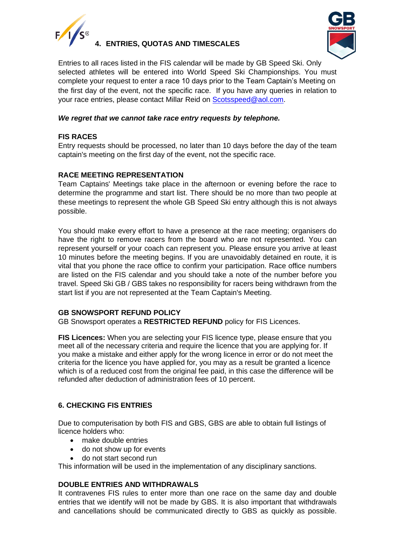

**4. ENTRIES, QUOTAS AND TIMESCALES**



Entries to all races listed in the FIS calendar will be made by GB Speed Ski. Only selected athletes will be entered into World Speed Ski Championships. You must complete your request to enter a race 10 days prior to the Team Captain's Meeting on the first day of the event, not the specific race. If you have any queries in relation to your race entries, please contact Millar Reid on [Scotsspeed@aol.com.](mailto:Scotsspeed@aol.com)

# *We regret that we cannot take race entry requests by telephone.*

# **FIS RACES**

Entry requests should be processed, no later than 10 days before the day of the team captain's meeting on the first day of the event, not the specific race.

# **RACE MEETING REPRESENTATION**

Team Captains' Meetings take place in the afternoon or evening before the race to determine the programme and start list. There should be no more than two people at these meetings to represent the whole GB Speed Ski entry although this is not always possible.

You should make every effort to have a presence at the race meeting; organisers do have the right to remove racers from the board who are not represented. You can represent yourself or your coach can represent you. Please ensure you arrive at least 10 minutes before the meeting begins. If you are unavoidably detained en route, it is vital that you phone the race office to confirm your participation. Race office numbers are listed on the FIS calendar and you should take a note of the number before you travel. Speed Ski GB / GBS takes no responsibility for racers being withdrawn from the start list if you are not represented at the Team Captain's Meeting.

# **GB SNOWSPORT REFUND POLICY**

GB Snowsport operates a **RESTRICTED REFUND** policy for FIS Licences.

**FIS Licences:** When you are selecting your FIS licence type, please ensure that you meet all of the necessary criteria and require the licence that you are applying for. If you make a mistake and either apply for the wrong licence in error or do not meet the criteria for the licence you have applied for, you may as a result be granted a licence which is of a reduced cost from the original fee paid, in this case the difference will be refunded after deduction of administration fees of 10 percent.

# **6. CHECKING FIS ENTRIES**

Due to computerisation by both FIS and GBS, GBS are able to obtain full listings of licence holders who:

- make double entries
- do not show up for events
- do not start second run

This information will be used in the implementation of any disciplinary sanctions.

# **DOUBLE ENTRIES AND WITHDRAWALS**

It contravenes FIS rules to enter more than one race on the same day and double entries that we identify will not be made by GBS. It is also important that withdrawals and cancellations should be communicated directly to GBS as quickly as possible.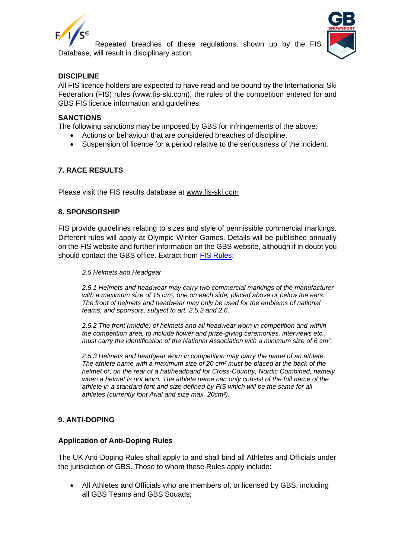

Repeated breaches of these regulations, shown up by the FIS Database, will result in disciplinary action.



# **DISCIPLINE**

All FIS licence holders are expected to have read and be bound by the International Ski Federation (FIS) rules [\(www.fis-ski.com\)](http://www.fis-ski.com/), the rules of the competition entered for and GBS FIS licence information and guidelines.

#### **SANCTIONS**

The following sanctions may be imposed by GBS for infringements of the above:

- Actions or behaviour that are considered breaches of discipline.
- Suspension of licence for a period relative to the seriousness of the incident.

# **7. RACE RESULTS**

Please visit the FIS results database at [www.fis-ski.com](http://www.fis-ski.com/)

#### **8. SPONSORSHIP**

FIS provide guidelines relating to sizes and style of permissible commercial markings. Different rules will apply at Olympic Winter Games. Details will be published annually on the FIS website and further information on the GBS website, although if in doubt you should contact the GBS office. Extract from [FIS Rules:](https://assets.fis-ski.com/image/upload/v1556105290/fis-prod/assets/Specifications_Commercial_Markings_on_Equipment_2019-20.pdf)

#### *2.5 Helmets and Headgear*

*2.5.1 Helmets and headwear may carry two commercial markings of the manufacturer with a maximum size of 15 cm², one on each side, placed above or below the ears. The front of helmets and headwear may only be used for the emblems of national teams, and sponsors, subject to art. 2.5.2 and 2.6.* 

*2.5.2 The front (middle) of helmets and all headwear worn in competition and within the competition area, to include flower and prize-giving ceremonies, interviews etc., must carry the identification of the National Association with a minimum size of 6 cm².*

*2.5.3 Helmets and headgear worn in competition may carry the name of an athlete. The athlete name with a maximum size of 20 cm² must be placed at the back of the helmet or, on the rear of a hat/headband for Cross-Country, Nordic Combined, namely when a helmet is not worn. The athlete name can only consist of the full name of the athlete in a standard font and size defined by FIS which will be the same for all athletes (currently font Arial and size max. 20cm²).*

#### **9. ANTI-DOPING**

# **Application of Anti-Doping Rules**

The UK Anti-Doping Rules shall apply to and shall bind all Athletes and Officials under the jurisdiction of GBS. Those to whom these Rules apply include:

• All Athletes and Officials who are members of, or licensed by GBS, including all GBS Teams and GBS Squads;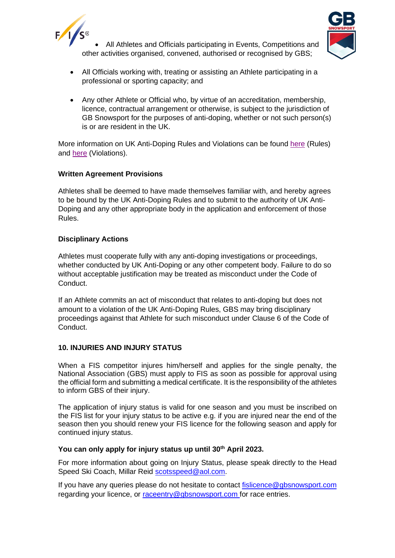



- All Athletes and Officials participating in Events, Competitions and other activities organised, convened, authorised or recognised by GBS;
- All Officials working with, treating or assisting an Athlete participating in a professional or sporting capacity; and
- Any other Athlete or Official who, by virtue of an accreditation, membership, licence, contractual arrangement or otherwise, is subject to the jurisdiction of GB Snowsport for the purposes of anti-doping, whether or not such person(s) is or are resident in the UK.

More information on UK Anti-Doping Rules and Violations can be found [here](https://www.ukad.org.uk/about/anti-doping-rules) (Rules) and [here](https://www.ukad.org.uk/sites/default/files/2020-12/UKAD%20ADRV%20infographic%20FINAL_0.pdf) (Violations).

# **Written Agreement Provisions**

Athletes shall be deemed to have made themselves familiar with, and hereby agrees to be bound by the UK Anti-Doping Rules and to submit to the authority of UK Anti-Doping and any other appropriate body in the application and enforcement of those Rules.

# **Disciplinary Actions**

Athletes must cooperate fully with any anti-doping investigations or proceedings, whether conducted by UK Anti-Doping or any other competent body. Failure to do so without acceptable justification may be treated as misconduct under the Code of Conduct.

If an Athlete commits an act of misconduct that relates to anti-doping but does not amount to a violation of the UK Anti-Doping Rules, GBS may bring disciplinary proceedings against that Athlete for such misconduct under Clause 6 of the Code of Conduct.

# **10. INJURIES AND INJURY STATUS**

When a FIS competitor injures him/herself and applies for the single penalty, the National Association (GBS) must apply to FIS as soon as possible for approval using the official form and submitting a medical certificate. It is the responsibility of the athletes to inform GBS of their injury.

The application of injury status is valid for one season and you must be inscribed on the FIS list for your injury status to be active e.g. if you are injured near the end of the season then you should renew your FIS licence for the following season and apply for continued injury status.

#### **You can only apply for injury status up until 30th April 2023.**

For more information about going on Injury Status, please speak directly to the Head Speed Ski Coach, Millar Reid [scotsspeed@aol.com.](mailto:scotsspeed@aol.com)

If you have any queries please do not hesitate to contact [fislicence@gbsnowsport.com](mailto:fislicence@gbsnowsport.com) regarding your licence, or [raceentry@gbsnowsport.com](mailto:raceentry@gbsnowsport.com) for race entries.